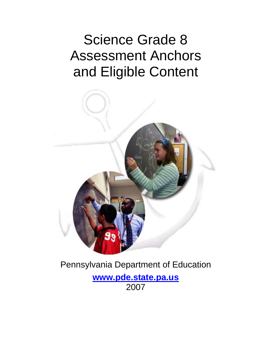# Science Grade 8 Assessment Anchors and Eligible Content



# Pennsylvania Department of Education

**[www.pde.state.pa.us](http://www.pde.state.pa.us/)** 2007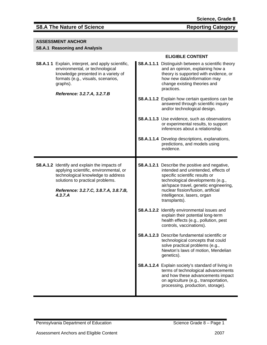| <b>ASSESSMENT ANCHOR</b> |  |
|--------------------------|--|
|                          |  |

### **S8.A.1 Reasoning and Analysis**

|                                                                                                                                                                                                                             | <b>ELIGIBLE CONTENT</b>                                                                                                                                                                                                                                                                                                                                                                                                                                                                                                                                                                                                                                                                                                                                                                                                                                           |  |
|-----------------------------------------------------------------------------------------------------------------------------------------------------------------------------------------------------------------------------|-------------------------------------------------------------------------------------------------------------------------------------------------------------------------------------------------------------------------------------------------------------------------------------------------------------------------------------------------------------------------------------------------------------------------------------------------------------------------------------------------------------------------------------------------------------------------------------------------------------------------------------------------------------------------------------------------------------------------------------------------------------------------------------------------------------------------------------------------------------------|--|
| <b>S8.A.1 1</b> Explain, interpret, and apply scientific,<br>environmental, or technological<br>knowledge presented in a variety of<br>formats (e.g., visuals, scenarios,<br>graphs).                                       | S8.A.1.1.1 Distinguish between a scientific theory<br>and an opinion, explaining how a<br>theory is supported with evidence, or<br>how new data/information may<br>change existing theories and<br>practices.                                                                                                                                                                                                                                                                                                                                                                                                                                                                                                                                                                                                                                                     |  |
| Reference: 3.2.7.A, 3.2.7.B                                                                                                                                                                                                 | S8.A.1.1.2 Explain how certain questions can be<br>answered through scientific inquiry<br>and/or technological design.                                                                                                                                                                                                                                                                                                                                                                                                                                                                                                                                                                                                                                                                                                                                            |  |
|                                                                                                                                                                                                                             | <b>S8.A.1.1.3</b> Use evidence, such as observations<br>or experimental results, to support<br>inferences about a relationship.                                                                                                                                                                                                                                                                                                                                                                                                                                                                                                                                                                                                                                                                                                                                   |  |
|                                                                                                                                                                                                                             | S8.A.1.1.4 Develop descriptions, explanations,<br>predictions, and models using<br>evidence.                                                                                                                                                                                                                                                                                                                                                                                                                                                                                                                                                                                                                                                                                                                                                                      |  |
| <b>S8.A.1.2</b> Identify and explain the impacts of<br>applying scientific, environmental, or<br>technological knowledge to address<br>solutions to practical problems.<br>Reference: 3.2.7.C, 3.8.7.A, 3.8.7.B,<br>4.3.7.A | <b>S8.A.1.2.1</b> Describe the positive and negative,<br>intended and unintended, effects of<br>specific scientific results or<br>technological developments (e.g.,<br>air/space travel, genetic engineering,<br>nuclear fission/fusion, artificial<br>intelligence, lasers, organ<br>transplants).<br>S8.A.1.2.2 Identify environmental issues and<br>explain their potential long-term<br>health effects (e.g., pollution, pest<br>controls, vaccinations).<br><b>S8.A.1.2.3</b> Describe fundamental scientific or<br>technological concepts that could<br>solve practical problems (e.g.,<br>Newton's laws of motion, Mendelian<br>genetics).<br>S8.A.1.2.4 Explain society's standard of living in<br>terms of technological advancements<br>and how these advancements impact<br>on agriculture (e.g., transportation,<br>processing, production, storage). |  |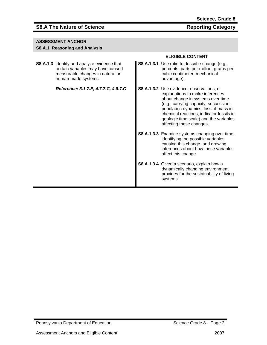### **S8.A The Nature of Science Community Category** Reporting Category

#### **ASSESSMENT ANCHOR**

#### **S8.A.1 Reasoning and Analysis**

**S8.A.1.3** Identify and analyze evidence that certain variables may have caused measurable changes in natural or human-made systems.

*Reference: 3.1.7.E, 4.7.7.C, 4.8.7.C* 

- **S8.A.1.3.1** Use ratio to describe change (e.g., percents, parts per million, grams per cubic centimeter, mechanical advantage).
- **S8.A.1.3.2** Use evidence, observations, or explanations to make inferences about change in systems over time (e.g., carrying capacity, succession, population dynamics, loss of mass in chemical reactions, indicator fossils in geologic time scale) and the variables affecting these changes.
- **S8.A.1.3.3** Examine systems changing over time, identifying the possible variables causing this change, and drawing inferences about how these variables affect this change.
- **S8.A.1.3.4** Given a scenario, explain how a dynamically changing environment provides for the sustainability of living systems.

Pennsylvania Department of Education New York Science Grade 8 – Page 2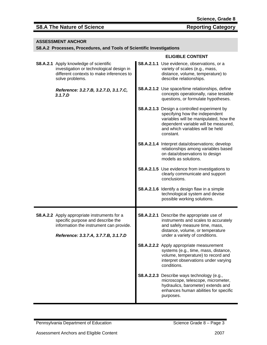#### **ASSESSMENT ANCHOR**

#### **S8.A.2 Processes, Procedures, and Tools of Scientific Investigations**

|                                                                                                                                                                             | <b>ELIGIBLE CONTENT</b>                                                                                                                                                                                                  |
|-----------------------------------------------------------------------------------------------------------------------------------------------------------------------------|--------------------------------------------------------------------------------------------------------------------------------------------------------------------------------------------------------------------------|
| <b>S8.A.2.1</b> Apply knowledge of scientific<br>investigation or technological design in<br>different contexts to make inferences to<br>solve problems.                    | S8.A.2.1.1 Use evidence, observations, or a<br>variety of scales (e.g., mass,<br>distance, volume, temperature) to<br>describe relationships.                                                                            |
| Reference: 3.2.7.B, 3.2.7.D, 3.1.7.C,<br>3.1.7.D                                                                                                                            | <b>S8.A.2.1.2</b> Use space/time relationships, define<br>concepts operationally, raise testable<br>questions, or formulate hypotheses.                                                                                  |
|                                                                                                                                                                             | <b>S8.A.2.1.3</b> Design a controlled experiment by<br>specifying how the independent<br>variables will be manipulated, how the<br>dependent variable will be measured,<br>and which variables will be held<br>constant. |
|                                                                                                                                                                             | S8.A.2.1.4 Interpret data/observations; develop<br>relationships among variables based<br>on data/observations to design<br>models as solutions.                                                                         |
|                                                                                                                                                                             | <b>S8.A.2.1.5</b> Use evidence from investigations to<br>clearly communicate and support<br>conclusions.                                                                                                                 |
|                                                                                                                                                                             | S8.A.2.1.6 Identify a design flaw in a simple<br>technological system and devise<br>possible working solutions.                                                                                                          |
| <b>S8.A.2.2</b> Apply appropriate instruments for a<br>specific purpose and describe the<br>information the instrument can provide.<br>Reference: 3.3.7.A, 3.7.7.B, 3.1.7.D | <b>S8.A.2.2.1</b> Describe the appropriate use of<br>instruments and scales to accurately<br>and safely measure time, mass,<br>distance, volume, or temperature<br>under a variety of conditions.                        |
|                                                                                                                                                                             | S8.A.2.2.2 Apply appropriate measurement<br>systems (e.g., time, mass, distance,<br>volume, temperature) to record and<br>interpret observations under varying<br>conditions.                                            |
|                                                                                                                                                                             | S8.A.2.2.3 Describe ways technology (e.g.,<br>microscope, telescope, micrometer,<br>hydraulics, barometer) extends and<br>enhances human abilities for specific<br>purposes.                                             |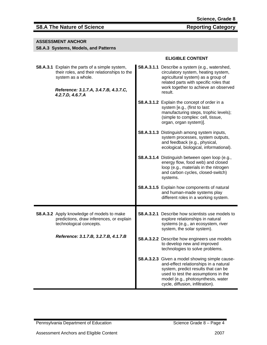### **ASSESSMENT ANCHOR**

#### **S8.A.3 Systems, Models, and Patterns**

|                                                                                                                                                                                         | ו וושושב שטוטובו                                                                                                                                                                                                                                |
|-----------------------------------------------------------------------------------------------------------------------------------------------------------------------------------------|-------------------------------------------------------------------------------------------------------------------------------------------------------------------------------------------------------------------------------------------------|
| <b>S8.A.3.1</b> Explain the parts of a simple system,<br>their roles, and their relationships to the<br>system as a whole.<br>Reference: 3.1.7.A, 3.4.7.B, 4.3.7.C,<br>4.2.7.D, 4.6.7.A | S8.A.3.1.1 Describe a system (e.g., watershed,<br>circulatory system, heating system,<br>agricultural system) as a group of<br>related parts with specific roles that<br>work together to achieve an observed<br>result.                        |
|                                                                                                                                                                                         | <b>S8.A.3.1.2</b> Explain the concept of order in a<br>system [e.g., (first to last:<br>manufacturing steps, trophic levels);<br>(simple to complex: cell, tissue,<br>organ, organ system)].                                                    |
|                                                                                                                                                                                         | <b>S8.A.3.1.3</b> Distinguish among system inputs,<br>system processes, system outputs,<br>and feedback (e.g., physical,<br>ecological, biological, informational).                                                                             |
|                                                                                                                                                                                         | S8.A.3.1.4 Distinguish between open loop (e.g.,<br>energy flow, food web) and closed<br>loop (e.g., materials in the nitrogen<br>and carbon cycles, closed-switch)<br>systems.                                                                  |
|                                                                                                                                                                                         | S8.A.3.1.5 Explain how components of natural<br>and human-made systems play<br>different roles in a working system.                                                                                                                             |
| S8.A.3.2 Apply knowledge of models to make<br>predictions, draw inferences, or explain<br>technological concepts.                                                                       | <b>S8.A.3.2.1</b> Describe how scientists use models to<br>explore relationships in natural<br>systems (e.g., an ecosystem, river<br>system, the solar system).                                                                                 |
| Reference: 3.1.7.B, 3.2.7.B, 4.1.7.B                                                                                                                                                    | <b>S8.A.3.2.2</b> Describe how engineers use models<br>to develop new and improved<br>technologies to solve problems.                                                                                                                           |
|                                                                                                                                                                                         | S8.A.3.2.3 Given a model showing simple cause-<br>and-effect relationships in a natural<br>system, predict results that can be<br>used to test the assumptions in the<br>model (e.g., photosynthesis, water<br>cycle, diffusion, infiltration). |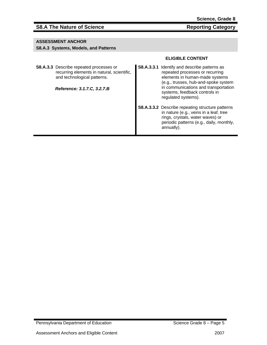#### **ASSESSMENT ANCHOR**

#### **S8.A.3 Systems, Models, and Patterns**

**S8.A.3.3** Describe repeated processes or recurring elements in natural, scientific, and technological patterns.

*Reference: 3.1.7.C, 3.2.7.B* 

- **S8.A.3.3.1** Identify and describe patterns as repeated processes or recurring elements in human-made systems (e.g., trusses, hub-and-spoke system in communications and transportation systems, feedback controls in regulated systems).
- **S8.A.3.3.2** Describe repeating structure patterns in nature (e.g., veins in a leaf, tree rings, crystals, water waves) or periodic patterns (e.g., daily, monthly, annually).

Pennsylvania Department of Education Science Grade 8 – Page 5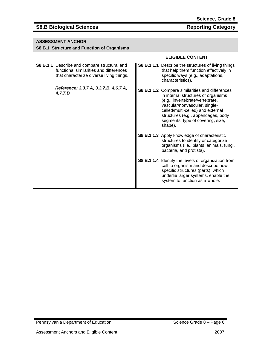### **S8.B Biological Sciences Reporting Category**

#### **ASSESSMENT ANCHOR**

#### **S8.B.1 Structure and Function of Organisms**

**S8.B.1.1** Describe and compare structural and functional similarities and differences that characterize diverse living things.

> *Reference: 3.3.7.A, 3.3.7.B, 4.6.7.A, 4.7.7.B*

- **S8.B.1.1.1** Describe the structures of living things that help them function effectively in specific ways (e.g., adaptations, characteristics).
- **S8.B.1.1.2** Compare similarities and differences in internal structures of organisms (e.g., invertebrate/vertebrate, vascular/nonvascular, singlecelled/multi-celled) and external structures (e.g., appendages, body segments, type of covering, size, shape).
- **S8.B.1.1.3** Apply knowledge of characteristic structures to identify or categorize organisms (i.e., plants, animals, fungi, bacteria, and protista).
- **S8.B.1.1.4** Identify the levels of organization from cell to organism and describe how specific structures (parts), which underlie larger systems, enable the system to function as a whole.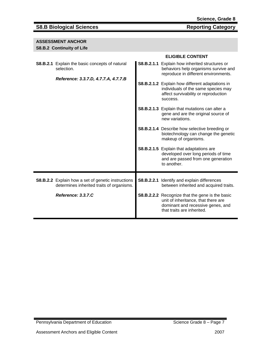### **S8.B Biological Sciences** Reporting Category

### **ASSESSMENT ANCHOR**

# **S8.B.2 Continuity of Life**

| <b>S8.B.Z</b> CONTINUITY OF LITE                                                                            |                                                                                                                                                                  |
|-------------------------------------------------------------------------------------------------------------|------------------------------------------------------------------------------------------------------------------------------------------------------------------|
|                                                                                                             | <b>ELIGIBLE CONTENT</b>                                                                                                                                          |
| <b>S8.B.2.1</b> Explain the basic concepts of natural<br>selection.<br>Reference: 3.3.7.D, 4.7.7.A, 4.7.7.B | <b>S8.B.2.1.1</b> Explain how inherited structures or<br>behaviors help organisms survive and<br>reproduce in different environments.                            |
|                                                                                                             | S8.B.2.1.2 Explain how different adaptations in<br>individuals of the same species may<br>affect survivability or reproduction<br>success.                       |
|                                                                                                             | <b>S8.B.2.1.3</b> Explain that mutations can alter a<br>gene and are the original source of<br>new variations.                                                   |
|                                                                                                             | S8.B.2.1.4 Describe how selective breeding or<br>biotechnology can change the genetic<br>makeup of organisms.                                                    |
|                                                                                                             | S8.B.2.1.5 Explain that adaptations are<br>developed over long periods of time<br>and are passed from one generation<br>to another.                              |
| S8.B.2.2 Explain how a set of genetic instructions<br>determines inherited traits of organisms.             | S8.B.2.2.1 Identify and explain differences<br>between inherited and acquired traits.                                                                            |
| Reference: 3.3.7.C                                                                                          | <b>S8.B.2.2.2</b> Recognize that the gene is the basic<br>unit of inheritance, that there are<br>dominant and recessive genes, and<br>that traits are inherited. |
|                                                                                                             |                                                                                                                                                                  |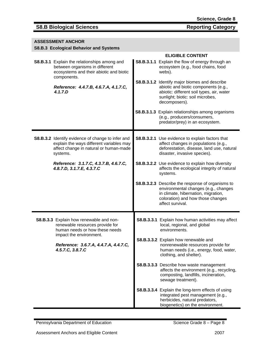### **S8.B Biological Sciences** Reporting Category

**ASSESSMENT ANCHOR** 

| S8.B.3 Ecological Behavior and Systems                                                                                                              |  |                                                                                                                                                                                          |  |
|-----------------------------------------------------------------------------------------------------------------------------------------------------|--|------------------------------------------------------------------------------------------------------------------------------------------------------------------------------------------|--|
|                                                                                                                                                     |  | <b>ELIGIBLE CONTENT</b>                                                                                                                                                                  |  |
| S8.B.3.1 Explain the relationships among and<br>between organisms in different<br>ecosystems and their abiotic and biotic<br>components.            |  | S8.B.3.1.1 Explain the flow of energy through an<br>ecosystem (e.g., food chains, food<br>webs).                                                                                         |  |
| Reference: 4.4.7.B, 4.6.7.A, 4.1.7.C,<br>4.1.7.D                                                                                                    |  | S8.B.3.1.2 Identify major biomes and describe<br>abiotic and biotic components (e.g.,<br>abiotic: different soil types, air, water<br>sunlight; biotic: soil microbes,<br>decomposers).  |  |
|                                                                                                                                                     |  | <b>S8.B.3.1.3</b> Explain relationships among organisms<br>(e.g., producers/consumers,<br>predator/prey) in an ecosystem.                                                                |  |
| S8.B.3.2 Identify evidence of change to infer and<br>explain the ways different variables may<br>affect change in natural or human-made<br>systems. |  | <b>S8.B.3.2.1</b> Use evidence to explain factors that<br>affect changes in populations (e.g.,<br>deforestation, disease, land use, natural<br>disaster, invasive species).              |  |
| Reference: 3.1.7.C, 4.3.7.B, 4.6.7.C,<br>4.8.7.D, 3.1.7.E, 4.3.7.C                                                                                  |  | <b>S8.B.3.2.2</b> Use evidence to explain how diversity<br>affects the ecological integrity of natural<br>systems.                                                                       |  |
|                                                                                                                                                     |  | S8.B.3.2.3 Describe the response of organisms to<br>environmental changes (e.g., changes<br>in climate, hibernation, migration,<br>coloration) and how those changes<br>affect survival. |  |
| S8.B.3.3 Explain how renewable and non-<br>renewable resources provide for<br>human needs or how these needs<br>impact the environment.             |  | S8.B.3.3.1 Explain how human activities may affect<br>local, regional, and global<br>environments.                                                                                       |  |
| Reference: 3.6.7.A, 4.4.7.A, 4.4.7.C,<br>4.5.7.C, 3.8.7.C                                                                                           |  | S8.B.3.3.2 Explain how renewable and<br>nonrenewable resources provide for<br>human needs (i.e., energy, food, water,<br>clothing, and shelter).                                         |  |
|                                                                                                                                                     |  | S8.B.3.3.3 Describe how waste management<br>affects the environment (e.g., recycling,<br>composting, landfills, incineration,<br>sewage treatment).                                      |  |
|                                                                                                                                                     |  | S8.B.3.3.4 Explain the long-term effects of using<br>integrated pest management (e.g.,<br>herbicides, natural predators,<br>biogenetics) on the environment.                             |  |

Pennsylvania Department of Education **Science Grade 8** – Page 8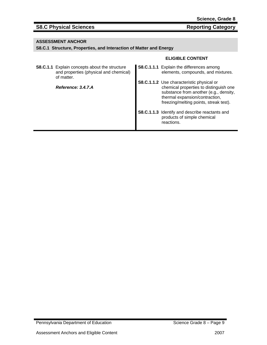# S8.C Physical Sciences Reporting Category

#### **ASSESSMENT ANCHOR**

#### **S8.C.1 Structure, Properties, and Interaction of Matter and Energy**

| <b>S8.C.1.1</b> Explain concepts about the structure<br>and properties (physical and chemical)<br>of matter. | <b>S8.C.1.1.1</b> Explain the differences among<br>elements, compounds, and mixtures.                                                                                                                            |
|--------------------------------------------------------------------------------------------------------------|------------------------------------------------------------------------------------------------------------------------------------------------------------------------------------------------------------------|
| Reference: 3.4.7.A                                                                                           | <b>S8.C.1.1.2</b> Use characteristic physical or<br>chemical properties to distinguish one<br>substance from another (e.g., density,<br>thermal expansion/contraction,<br>freezing/melting points, streak test). |
|                                                                                                              | S8.C.1.1.3 Identify and describe reactants and<br>products of simple chemical<br>reactions.                                                                                                                      |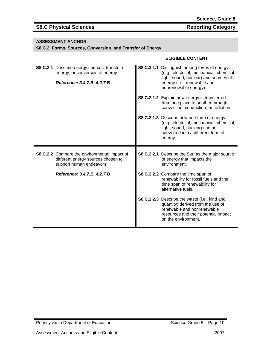# S8.C Physical Sciences Reporting Category

#### **ASSESSMENT ANCHOR**

**S8.C.2 Forms, Sources, Conversion, and Transfer of Energy**

| <b>S8.C.2.1</b> Describe energy sources, transfer of<br>energy, or conversion of energy.<br>Reference: 3.4.7.B, 4.2.7.B | <b>S8.C.2.1.1</b> Distinguish among forms of energy<br>(e.g., electrical, mechanical, chemical,<br>light, sound, nuclear) and sources of<br>energy (i.e., renewable and<br>nonrenewable energy) |
|-------------------------------------------------------------------------------------------------------------------------|-------------------------------------------------------------------------------------------------------------------------------------------------------------------------------------------------|
|                                                                                                                         | <b>S8.C.2.1.2</b> Explain how energy is transferred<br>from one place to another through<br>convection, conduction, or radiation.                                                               |
|                                                                                                                         | S8.C.2.1.3 Describe how one form of energy<br>(e.g., electrical, mechanical, chemical,<br>light, sound, nuclear) can be<br>converted into a different form of<br>energy.                        |
|                                                                                                                         |                                                                                                                                                                                                 |
| <b>S8.C.2.2</b> Compare the environmental impact of<br>different energy sources chosen to<br>support human endeavors.   | S8.C.2.2.1 Describe the Sun as the major source<br>of energy that impacts the<br>environment.                                                                                                   |
| Reference: 3.4.7.B, 4.2.7.B                                                                                             | S8.C.2.2.2 Compare the time span of<br>renewability for fossil fuels and the<br>time span of renewability for<br>alternative fuels.                                                             |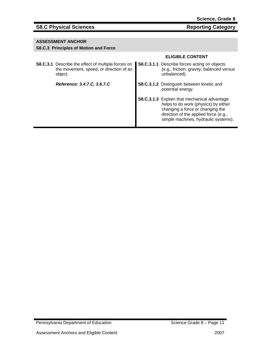### **S8.C Physical Sciences** Reporting Category

#### **ASSESSMENT ANCHOR**

#### **S8.C.3 Principles of Motion and Force**

|                                                                                                                 | <b>ELIGIBLE CONTENT</b>                                                                                                                                                                                   |
|-----------------------------------------------------------------------------------------------------------------|-----------------------------------------------------------------------------------------------------------------------------------------------------------------------------------------------------------|
| <b>S8.C.3.1</b> Describe the effect of multiple forces on<br>the movement, speed, or direction of an<br>object. | S8.C.3.1.1 Describe forces acting on objects<br>(e.g., friction, gravity, balanced versus<br>unbalanced).                                                                                                 |
| Reference: 3.4.7.C, 3.6.7.C                                                                                     | <b>S8.C.3.1.2</b> Distinguish between kinetic and<br>potential energy.                                                                                                                                    |
|                                                                                                                 | S8.C.3.1.3 Explain that mechanical advantage<br>helps to do work (physics) by either<br>changing a force or changing the<br>direction of the applied force (e.g.,<br>simple machines, hydraulic systems). |

Pennsylvania Department of Education Science Grade 8 – Page 11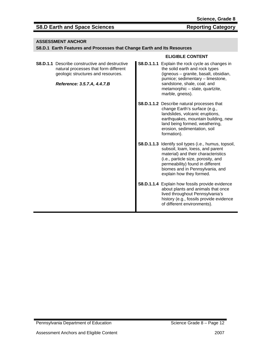#### **ASSESSMENT ANCHOR**

#### **S8.D.1 Earth Features and Processes that Change Earth and Its Resources**

| <b>S8.D.1.1</b> Describe constructive and destructive<br>natural processes that form different<br>geologic structures and resources.<br>Reference: 3.5.7.A, 4.4.7.B | <b>S8.D.1.1.1</b> Explain the rock cycle as changes in<br>the solid earth and rock types<br>(igneous - granite, basalt, obsidian,<br>pumice; sedimentary - limestone,<br>sandstone, shale, coal; and<br>metamorphic - slate, quartzite,<br>marble, gneiss).                       |
|---------------------------------------------------------------------------------------------------------------------------------------------------------------------|-----------------------------------------------------------------------------------------------------------------------------------------------------------------------------------------------------------------------------------------------------------------------------------|
|                                                                                                                                                                     | <b>S8.D.1.1.2</b> Describe natural processes that<br>change Earth's surface (e.g.,<br>landslides, volcanic eruptions,<br>earthquakes, mountain building, new<br>land being formed, weathering,<br>erosion, sedimentation, soil<br>formation).                                     |
|                                                                                                                                                                     | <b>S8.D.1.1.3</b> Identify soil types (i.e., humus, topsoil,<br>subsoil, loam, loess, and parent<br>material) and their characteristics<br>(i.e., particle size, porosity, and<br>permeability) found in different<br>biomes and in Pennsylvania, and<br>explain how they formed. |
|                                                                                                                                                                     | <b>S8.D.1.1.4</b> Explain how fossils provide evidence<br>about plants and animals that once<br>lived throughout Pennsylvania's<br>history (e.g., fossils provide evidence<br>of different environments).                                                                         |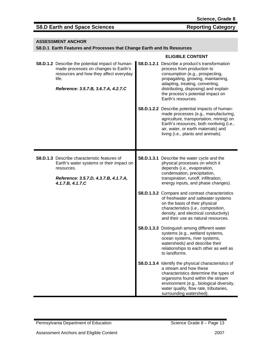#### **ASSESSMENT ANCHOR**

#### **S8.D.1 Earth Features and Processes that Change Earth and Its Resources**

| <b>S8.D.1.2</b> Describe the potential impact of human-<br>made processes on changes to Earth's<br>resources and how they affect everyday<br>life.<br>Reference: 3.5.7.B, 3.6.7.A, 4.2.7.C | S8.D.1.2.1 Describe a product's transformation<br>process from production to<br>consumption (e.g., prospecting,<br>propagating, growing, maintaining,<br>adapting, treating, converting,<br>distributing, disposing) and explain<br>the process's potential impact on<br>Earth's resources.<br><b>S8.D.1.2.2</b> Describe potential impacts of human-<br>made processes (e.g., manufacturing,<br>agriculture, transportation, mining) on<br>Earth's resources, both nonliving (i.e.,<br>air, water, or earth materials) and<br>living (i.e., plants and animals). |
|--------------------------------------------------------------------------------------------------------------------------------------------------------------------------------------------|-------------------------------------------------------------------------------------------------------------------------------------------------------------------------------------------------------------------------------------------------------------------------------------------------------------------------------------------------------------------------------------------------------------------------------------------------------------------------------------------------------------------------------------------------------------------|
| <b>S8.D.1.3</b> Describe characteristic features of<br>Earth's water systems or their impact on<br>resources.<br>Reference: 3.5.7.D, 4.3.7.B, 4.1.7.A,<br>4.1.7.B, 4.1.7.C                 | <b>S8.D.1.3.1</b> Describe the water cycle and the<br>physical processes on which it<br>depends (i.e., evaporation,<br>condensation, precipitation,<br>transpiration, runoff, infiltration,<br>energy inputs, and phase changes).                                                                                                                                                                                                                                                                                                                                 |
|                                                                                                                                                                                            | S8.D.1.3.2 Compare and contrast characteristics<br>of freshwater and saltwater systems<br>on the basis of their physical<br>characteristics (i.e., composition,<br>density, and electrical conductivity)<br>and their use as natural resources.                                                                                                                                                                                                                                                                                                                   |
|                                                                                                                                                                                            | S8.D.1.3.3 Distinguish among different water<br>systems (e.g., wetland systems,<br>ocean systems, river systems,<br>watersheds) and describe their<br>relationships to each other as well as<br>to landforms.                                                                                                                                                                                                                                                                                                                                                     |
|                                                                                                                                                                                            | S8.D.1.3.4 Identify the physical characteristics of<br>a stream and how these<br>characteristics determine the types of<br>organisms found within the stream<br>environment (e.g., biological diversity,<br>water quality, flow rate, tributaries,<br>surrounding watershed).                                                                                                                                                                                                                                                                                     |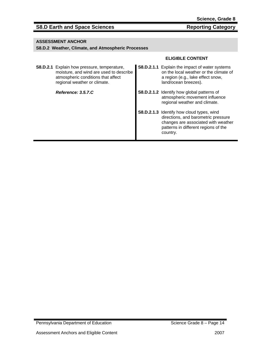#### **ASSESSMENT ANCHOR**

#### **S8.D.2 Weather, Climate, and Atmospheric Processes**

| S8.D.2.1 Explain how pressure, temperature,<br>moisture, and wind are used to describe<br>atmospheric conditions that affect<br>regional weather or climate. | <b>S8.D.2.1.1</b> Explain the impact of water systems<br>on the local weather or the climate of<br>a region (e.g., lake effect snow,<br>land/ocean breezes).                       |
|--------------------------------------------------------------------------------------------------------------------------------------------------------------|------------------------------------------------------------------------------------------------------------------------------------------------------------------------------------|
| Reference: 3.5.7.C                                                                                                                                           | <b>S8.D.2.1.2</b> Identify how global patterns of<br>atmospheric movement influence<br>regional weather and climate.                                                               |
|                                                                                                                                                              | <b>S8.D.2.1.3</b> Identify how cloud types, wind<br>directions, and barometric pressure<br>changes are associated with weather<br>patterns in different regions of the<br>country. |

Pennsylvania Department of Education Science Grade 8 – Page 14